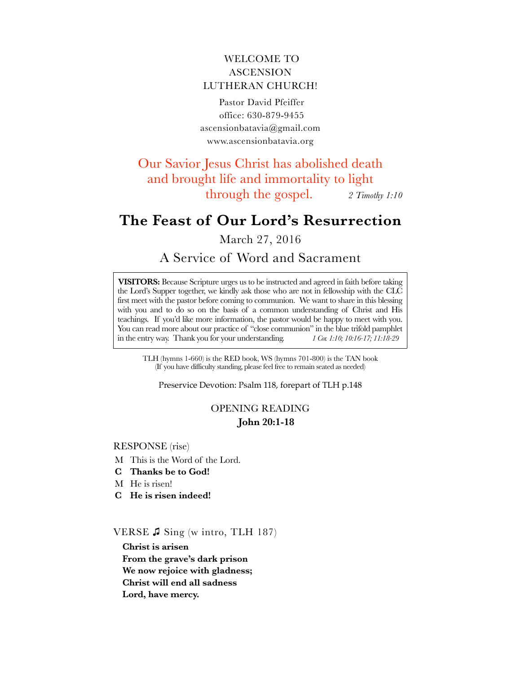# WELCOME TO ASCENSION LUTHERAN CHURCH!

 Pastor David Pfeiffer office: 630-879-9455 a[scensionbatavia@gmail.com](mailto:ascensionbatavia@gmail.com) w[ww.ascensionbatavia.org](http://www.ascensionbatavia.org)

Our Savior Jesus Christ has abolished death and brought life and immortality to light through the gospel. *2 Timothy 1:10*

# **The Feast of Our Lord's Resurrection**

March 27, 2016

# A Service of Word and Sacrament

**VISITORS:** Because Scripture urges us to be instructed and agreed in faith before taking the Lord's Supper together, we kindly ask those who are not in fellowship with the CLC first meet with the pastor before coming to communion. We want to share in this blessing with you and to do so on the basis of a common understanding of Christ and His teachings. If you'd like more information, the pastor would be happy to meet with you. You can read more about our practice of "close communion" in the blue trifold pamphlet in the entry way. Thank you for your understanding. *1 Cor. 1:10; 10:16-17; 11:18-29*

TLH (hymns 1-660) is the RED book, WS (hymns 701-800) is the TAN book (If you have difficulty standing, please feel free to remain seated as needed)

Preservice Devotion: Psalm 118, forepart of TLH p.148

# OPENING READING **John 20:1-18**

#### RESPONSE (rise)

- M This is the Word of the Lord.
- **C Thanks be to God!**
- M He is risen!
- **C He is risen indeed!**

VERSE ♫ Sing (w intro, TLH 187)

**Christ is arisen From the grave's dark prison We now rejoice with gladness; Christ will end all sadness Lord, have mercy.**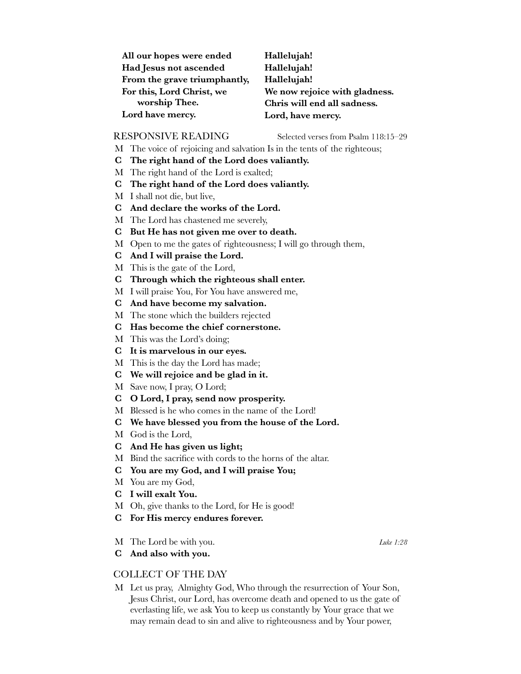| All our hopes were ended     | Hallelujah!                   |
|------------------------------|-------------------------------|
| Had Jesus not ascended       | Hallelujah!                   |
| From the grave triumphantly, | Hallelujah!                   |
| For this, Lord Christ, we    | We now rejoice with gladness. |
| worship Thee.                | Chris will end all sadness.   |
| Lord have mercy.             | Lord, have mercy.             |

RESPONSIVE READING Selected verses from Psalm 118:15-29

- M The voice of rejoicing and salvation Is in the tents of the righteous;
- **C The right hand of the Lord does valiantly.**
- M The right hand of the Lord is exalted;
- **C The right hand of the Lord does valiantly.**
- M I shall not die, but live,
- **C And declare the works of the Lord.**
- M The Lord has chastened me severely,
- **C But He has not given me over to death.**
- M Open to me the gates of righteousness; I will go through them,
- **C And I will praise the Lord.**
- M This is the gate of the Lord,
- **C Through which the righteous shall enter.**
- M I will praise You, For You have answered me,
- **C And have become my salvation.**
- M The stone which the builders rejected
- **C Has become the chief cornerstone.**
- M This was the Lord's doing;
- **C It is marvelous in our eyes.**
- M This is the day the Lord has made;
- **C We will rejoice and be glad in it.**
- M Save now, I pray, O Lord;
- **C O Lord, I pray, send now prosperity.**
- M Blessed is he who comes in the name of the Lord!
- **C We have blessed you from the house of the Lord.**
- M God is the Lord,
- **C And He has given us light;**
- M Bind the sacrifice with cords to the horns of the altar.
- **C You are my God, and I will praise You;**
- M You are my God,
- **C I will exalt You.**
- M Oh, give thanks to the Lord, for He is good!
- **C For His mercy endures forever.**
- M The Lord be with you. *Luke 1:28*

**C And also with you.**

## COLLECT OF THE DAY

M Let us pray, Almighty God, Who through the resurrection of Your Son, Jesus Christ, our Lord, has overcome death and opened to us the gate of everlasting life, we ask You to keep us constantly by Your grace that we may remain dead to sin and alive to righteousness and by Your power,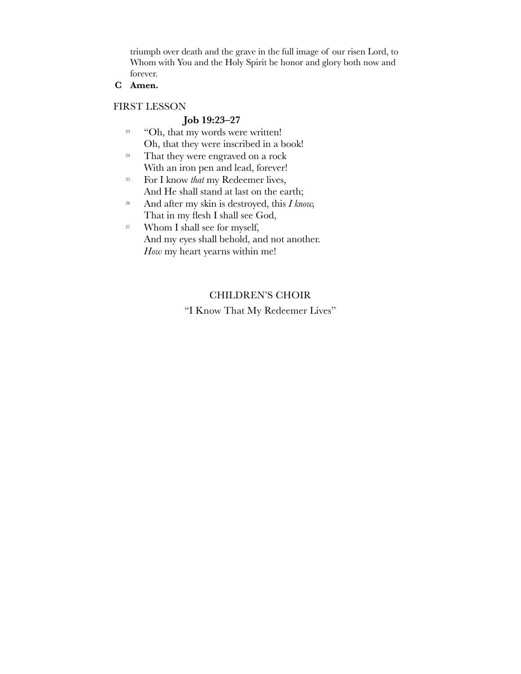triumph over death and the grave in the full image of our risen Lord, to Whom with You and the Holy Spirit be honor and glory both now and forever.

**C Amen.**

# FIRST LESSON

# **Job 19:23–27**

- <sup>23</sup> "Oh, that my words were written! Oh, that they were inscribed in a book!
- <sup>24</sup> That they were engraved on a rock With an iron pen and lead, forever!
- <sup>25</sup> For I know *that* my Redeemer lives, And He shall stand at last on the earth;
- <sup>26</sup> And after my skin is destroyed, this *I know,* That in my flesh I shall see God,
- <sup>27</sup> Whom I shall see for myself, And my eyes shall behold, and not another. *How* my heart yearns within me!

# CHILDREN'S CHOIR

"I Know That My Redeemer Lives"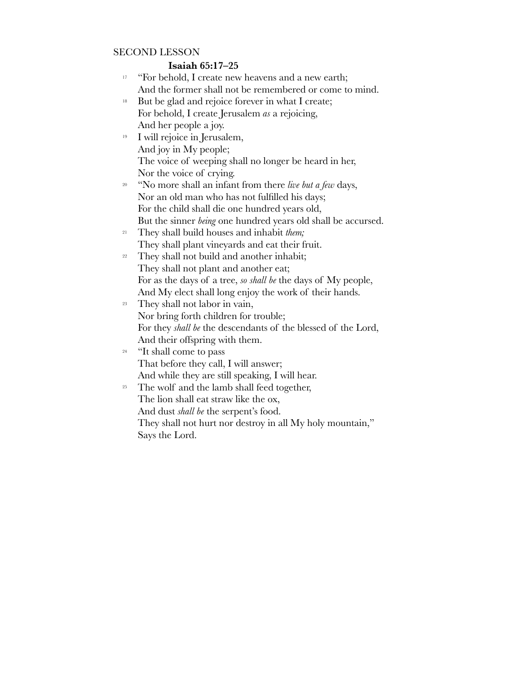# SECOND LESSON

# **Isaiah 65:17–25**

- <sup>17</sup> "For behold, I create new heavens and a new earth; And the former shall not be remembered or come to mind.
- <sup>18</sup> But be glad and rejoice forever in what I create; For behold, I create Jerusalem *as* a rejoicing, And her people a joy.
- <sup>19</sup> I will rejoice in Jerusalem, And joy in My people; The voice of weeping shall no longer be heard in her, Nor the voice of crying.
- <sup>20</sup> "No more shall an infant from there *live but a few* days, Nor an old man who has not fulfilled his days; For the child shall die one hundred years old, But the sinner *being* one hundred years old shall be accursed.
- <sup>21</sup> They shall build houses and inhabit *them;* They shall plant vineyards and eat their fruit.
- <sup>22</sup> They shall not build and another inhabit; They shall not plant and another eat; For as the days of a tree, *so shall be* the days of My people, And My elect shall long enjoy the work of their hands.
- <sup>23</sup> They shall not labor in vain, Nor bring forth children for trouble; For they *shall be* the descendants of the blessed of the Lord, And their offspring with them.

# <sup>24</sup> "It shall come to pass That before they call, I will answer; And while they are still speaking, I will hear.

<sup>25</sup> The wolf and the lamb shall feed together, The lion shall eat straw like the ox, And dust *shall be* the serpent's food. They shall not hurt nor destroy in all My holy mountain," Says the Lord.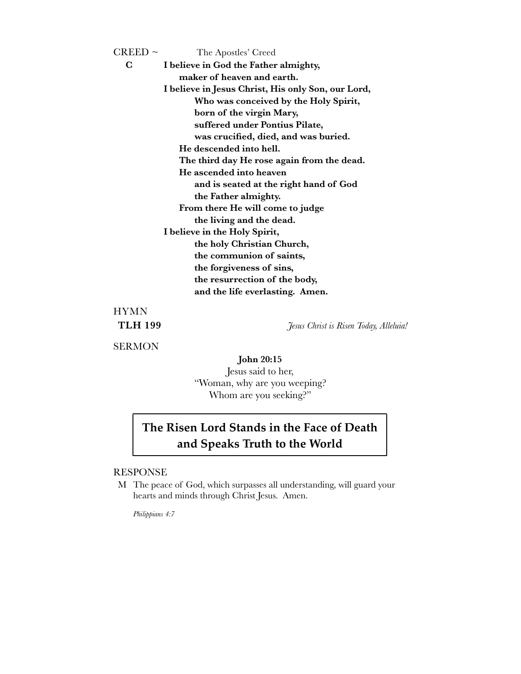| $\rm CREED\sim$                                    | The Apostles' Creed                    |  |  |  |
|----------------------------------------------------|----------------------------------------|--|--|--|
| C                                                  | I believe in God the Father almighty,  |  |  |  |
| maker of heaven and earth.                         |                                        |  |  |  |
| I believe in Jesus Christ, His only Son, our Lord, |                                        |  |  |  |
| Who was conceived by the Holy Spirit,              |                                        |  |  |  |
| born of the virgin Mary,                           |                                        |  |  |  |
| suffered under Pontius Pilate,                     |                                        |  |  |  |
| was crucified, died, and was buried.               |                                        |  |  |  |
| He descended into hell.                            |                                        |  |  |  |
| The third day He rose again from the dead.         |                                        |  |  |  |
|                                                    | He ascended into heaven                |  |  |  |
|                                                    | and is seated at the right hand of God |  |  |  |
| the Father almighty.                               |                                        |  |  |  |
| From there He will come to judge                   |                                        |  |  |  |
| the living and the dead.                           |                                        |  |  |  |
| I believe in the Holy Spirit,                      |                                        |  |  |  |
| the holy Christian Church,                         |                                        |  |  |  |
|                                                    | the communion of saints,               |  |  |  |
|                                                    | the forgiveness of sins,               |  |  |  |
|                                                    | the resurrection of the body,          |  |  |  |
|                                                    | and the life everlasting. Amen.        |  |  |  |
|                                                    |                                        |  |  |  |

# HYMN

**SERMON** 

**TLH 199** *Jesus Christ is Risen Today, Alleluia!*

**John 20:15**  Jesus said to her, "Woman, why are you weeping? Whom are you seeking?"

# **The Risen Lord Stands in the Face of Death and Speaks Truth to the World**

#### RESPONSE

M The peace of God, which surpasses all understanding, will guard your hearts and minds through Christ Jesus. Amen.

*Philippians 4:7*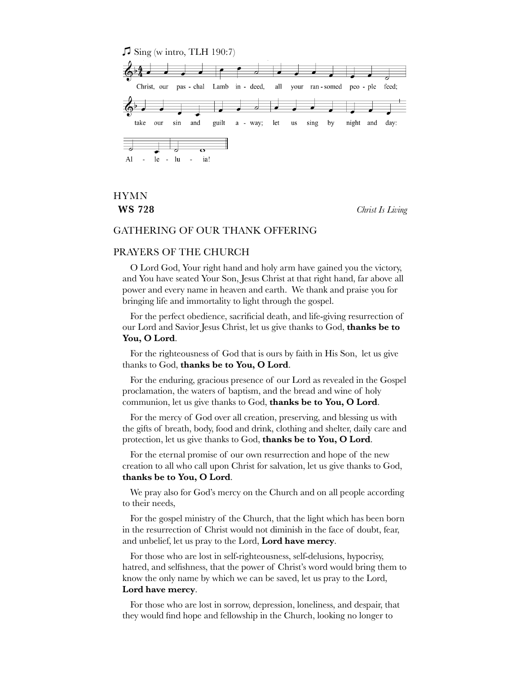

# HYMN

**WS 728** *Christ Is Living*

#### GATHERING OF OUR THANK OFFERING

### PRAYERS OF THE CHURCH

O Lord God, Your right hand and holy arm have gained you the victory, and You have seated Your Son, Jesus Christ at that right hand, far above all power and every name in heaven and earth. We thank and praise you for bringing life and immortality to light through the gospel.

For the perfect obedience, sacrificial death, and life-giving resurrection of our Lord and Savior Jesus Christ, let us give thanks to God, **thanks be to You, O Lord**.

For the righteousness of God that is ours by faith in His Son, let us give thanks to God, **thanks be to You, O Lord**.

For the enduring, gracious presence of our Lord as revealed in the Gospel proclamation, the waters of baptism, and the bread and wine of holy communion, let us give thanks to God, **thanks be to You, O Lord**.

For the mercy of God over all creation, preserving, and blessing us with the gifts of breath, body, food and drink, clothing and shelter, daily care and protection, let us give thanks to God, **thanks be to You, O Lord**.

For the eternal promise of our own resurrection and hope of the new creation to all who call upon Christ for salvation, let us give thanks to God, **thanks be to You, O Lord**.

We pray also for God's mercy on the Church and on all people according to their needs,

For the gospel ministry of the Church, that the light which has been born in the resurrection of Christ would not diminish in the face of doubt, fear, and unbelief, let us pray to the Lord, **Lord have mercy**.

For those who are lost in self-righteousness, self-delusions, hypocrisy, hatred, and selfishness, that the power of Christ's word would bring them to know the only name by which we can be saved, let us pray to the Lord, **Lord have mercy**.

For those who are lost in sorrow, depression, loneliness, and despair, that they would find hope and fellowship in the Church, looking no longer to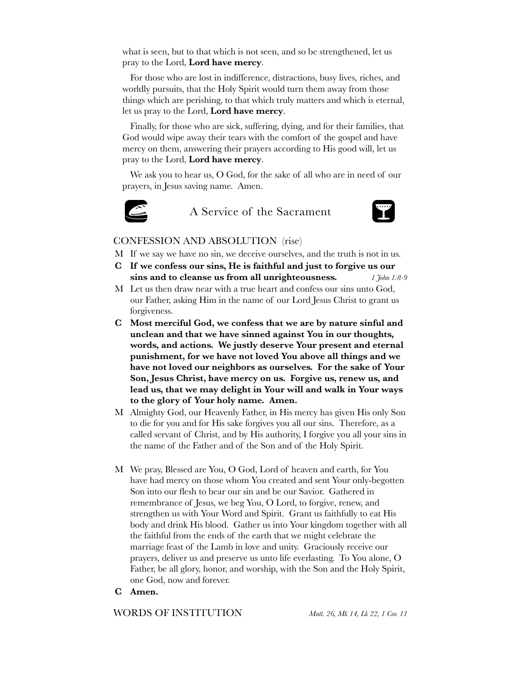what is seen, but to that which is not seen, and so be strengthened, let us pray to the Lord, **Lord have mercy**.

For those who are lost in indifference, distractions, busy lives, riches, and worldly pursuits, that the Holy Spirit would turn them away from those things which are perishing, to that which truly matters and which is eternal, let us pray to the Lord, **Lord have mercy**.

Finally, for those who are sick, suffering, dying, and for their families, that God would wipe away their tears with the comfort of the gospel and have mercy on them, answering their prayers according to His good will, let us pray to the Lord, **Lord have mercy**.

We ask you to hear us, O God, for the sake of all who are in need of our prayers, in Jesus saving name. Amen.



A Service of the Sacrament



#### CONFESSION AND ABSOLUTION (rise)

- M If we say we have no sin, we deceive ourselves, and the truth is not in us.
- **C If we confess our sins, He is faithful and just to forgive us our sins and to cleanse us from all unrighteousness.** *1 John 1:8-9*
- M Let us then draw near with a true heart and confess our sins unto God, our Father, asking Him in the name of our Lord Jesus Christ to grant us forgiveness.
- **C Most merciful God, we confess that we are by nature sinful and unclean and that we have sinned against You in our thoughts, words, and actions. We justly deserve Your present and eternal punishment, for we have not loved You above all things and we have not loved our neighbors as ourselves. For the sake of Your Son, Jesus Christ, have mercy on us. Forgive us, renew us, and lead us, that we may delight in Your will and walk in Your ways to the glory of Your holy name. Amen.**
- M Almighty God, our Heavenly Father, in His mercy has given His only Son to die for you and for His sake forgives you all our sins. Therefore, as a called servant of Christ, and by His authority, I forgive you all your sins in the name of the Father and of the Son and of the Holy Spirit.
- M We pray, Blessed are You, O God, Lord of heaven and earth, for You have had mercy on those whom You created and sent Your only-begotten Son into our flesh to bear our sin and be our Savior. Gathered in remembrance of Jesus, we beg You, O Lord, to forgive, renew, and strengthen us with Your Word and Spirit. Grant us faithfully to eat His body and drink His blood. Gather us into Your kingdom together with all the faithful from the ends of the earth that we might celebrate the marriage feast of the Lamb in love and unity. Graciously receive our prayers, deliver us and preserve us unto life everlasting. To You alone, O Father, be all glory, honor, and worship, with the Son and the Holy Spirit, one God, now and forever.
- **C Amen.**

WORDS OF INSTITUTION *Matt. 26, Mk 14, Lk 22, 1 Cor. 11*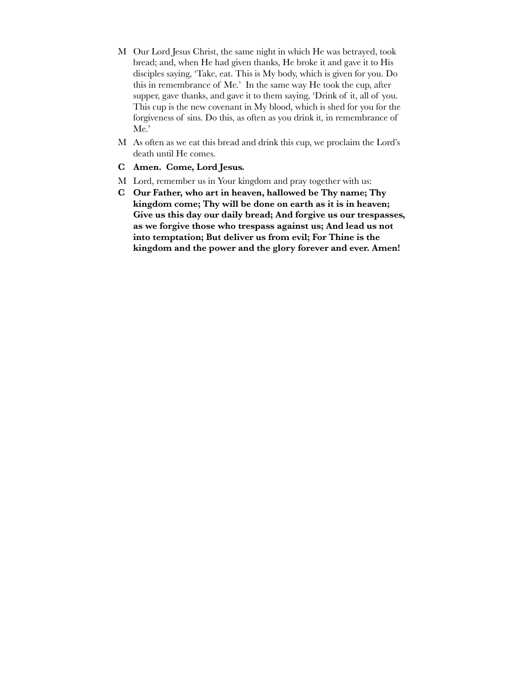- M Our Lord Jesus Christ, the same night in which He was betrayed, took bread; and, when He had given thanks, He broke it and gave it to His disciples saying, 'Take, eat. This is My body, which is given for you. Do this in remembrance of Me.' In the same way He took the cup, after supper, gave thanks, and gave it to them saying, 'Drink of it, all of you. This cup is the new covenant in My blood, which is shed for you for the forgiveness of sins. Do this, as often as you drink it, in remembrance of Me.'
- M As often as we eat this bread and drink this cup, we proclaim the Lord's death until He comes.
- **C Amen. Come, Lord Jesus.**
- M Lord, remember us in Your kingdom and pray together with us:
- **C Our Father, who art in heaven, hallowed be Thy name; Thy kingdom come; Thy will be done on earth as it is in heaven; Give us this day our daily bread; And forgive us our trespasses, as we forgive those who trespass against us; And lead us not into temptation; But deliver us from evil; For Thine is the kingdom and the power and the glory forever and ever. Amen!**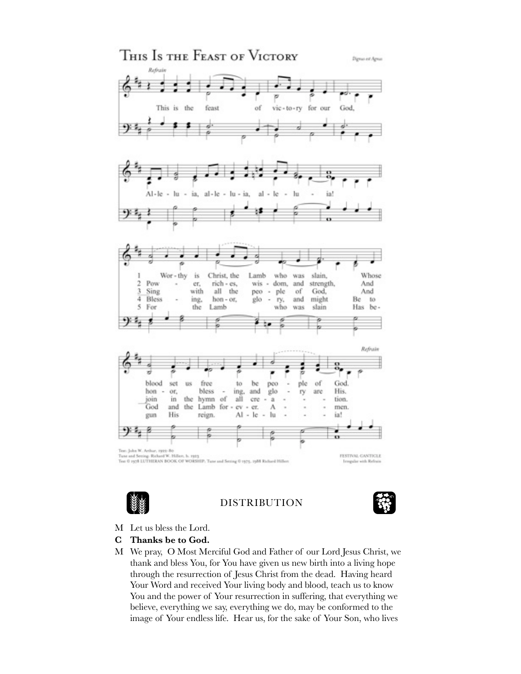



DISTRIBUTION



- M Let us bless the Lord.
- **C Thanks be to God.**
- M We pray, O Most Merciful God and Father of our Lord Jesus Christ, we thank and bless You, for You have given us new birth into a living hope through the resurrection of Jesus Christ from the dead. Having heard Your Word and received Your living body and blood, teach us to know You and the power of Your resurrection in suffering, that everything we believe, everything we say, everything we do, may be conformed to the image of Your endless life. Hear us, for the sake of Your Son, who lives